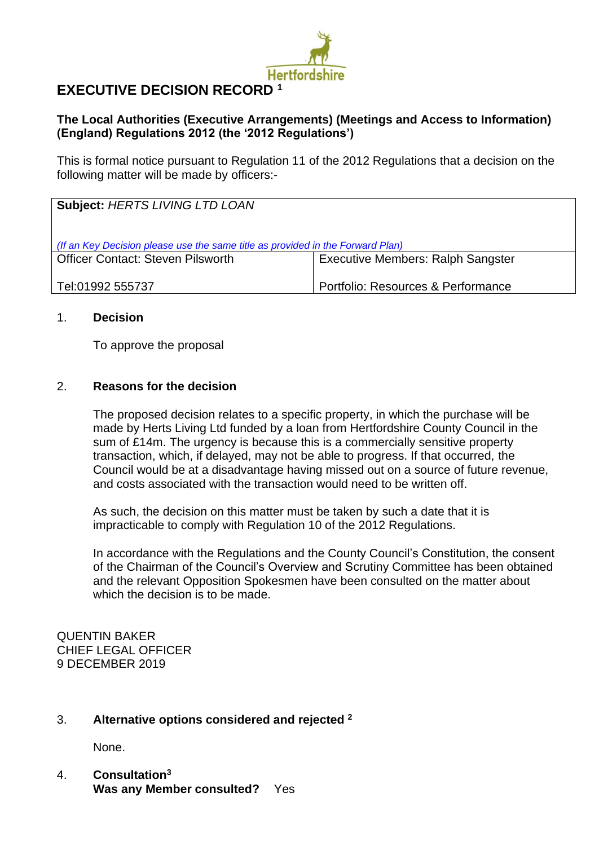

# **EXECUTIVE DECISION RECORD <sup>1</sup>**

## **The Local Authorities (Executive Arrangements) (Meetings and Access to Information) (England) Regulations 2012 (the '2012 Regulations')**

This is formal notice pursuant to Regulation 11 of the 2012 Regulations that a decision on the following matter will be made by officers:-

| <b>Subject: HERTS LIVING LTD LOAN</b>                                                                                                                           |                                    |  |
|-----------------------------------------------------------------------------------------------------------------------------------------------------------------|------------------------------------|--|
| (If an Key Decision please use the same title as provided in the Forward Plan)<br>Officer Contact: Steven Pilsworth<br><b>Executive Members: Ralph Sangster</b> |                                    |  |
| Tel:01992 555737                                                                                                                                                | Portfolio: Resources & Performance |  |

### 1. **Decision**

To approve the proposal

### 2. **Reasons for the decision**

The proposed decision relates to a specific property, in which the purchase will be made by Herts Living Ltd funded by a loan from Hertfordshire County Council in the sum of £14m. The urgency is because this is a commercially sensitive property transaction, which, if delayed, may not be able to progress. If that occurred, the Council would be at a disadvantage having missed out on a source of future revenue, and costs associated with the transaction would need to be written off.

As such, the decision on this matter must be taken by such a date that it is impracticable to comply with Regulation 10 of the 2012 Regulations.

In accordance with the Regulations and the County Council's Constitution, the consent of the Chairman of the Council's Overview and Scrutiny Committee has been obtained and the relevant Opposition Spokesmen have been consulted on the matter about which the decision is to be made.

QUENTIN BAKER CHIEF LEGAL OFFICER 9 DECEMBER 2019

### 3. **Alternative options considered and rejected <sup>2</sup>**

None.

4. **Consultation<sup>3</sup> Was any Member consulted?** Yes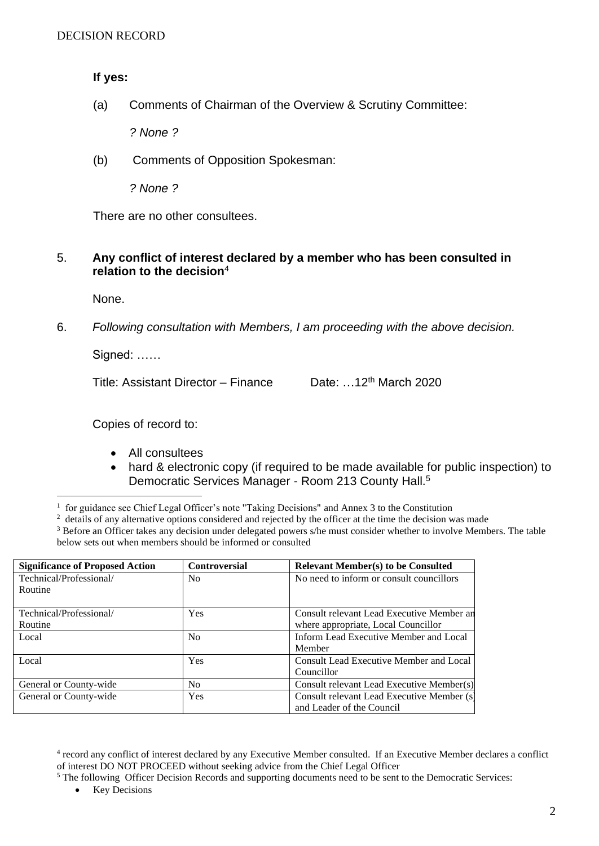**If yes:**

(a) Comments of Chairman of the Overview & Scrutiny Committee:

*? None ?*

(b) Comments of Opposition Spokesman:

*? None ?*

There are no other consultees.

#### 5. **Any conflict of interest declared by a member who has been consulted in relation to the decision**<sup>4</sup>

None.

6. *Following consultation with Members, I am proceeding with the above decision.*

Signed: ……

Title: Assistant Director – Finance Date: …12th March 2020

Copies of record to:

- All consultees
- hard & electronic copy (if required to be made available for public inspection) to Democratic Services Manager - Room 213 County Hall.<sup>5</sup>

<sup>&</sup>lt;sup>3</sup> Before an Officer takes any decision under delegated powers s/he must consider whether to involve Members. The table below sets out when members should be informed or consulted

| <b>Significance of Proposed Action</b> | <b>Controversial</b> | <b>Relevant Member(s) to be Consulted</b>  |
|----------------------------------------|----------------------|--------------------------------------------|
| Technical/Professional/                | N <sub>0</sub>       | No need to inform or consult councillors   |
| Routine                                |                      |                                            |
|                                        |                      |                                            |
| Technical/Professional/                | Yes                  | Consult relevant Lead Executive Member an  |
| Routine                                |                      | where appropriate, Local Councillor        |
| Local                                  | N <sub>0</sub>       | Inform Lead Executive Member and Local     |
|                                        |                      | Member                                     |
| Local                                  | Yes                  | Consult Lead Executive Member and Local    |
|                                        |                      | Councillor                                 |
| General or County-wide                 | N <sub>0</sub>       | Consult relevant Lead Executive Member(s)  |
| General or County-wide                 | Yes                  | Consult relevant Lead Executive Member (s) |
|                                        |                      | and Leader of the Council                  |

<sup>4</sup> record any conflict of interest declared by any Executive Member consulted. If an Executive Member declares a conflict of interest DO NOT PROCEED without seeking advice from the Chief Legal Officer

• Key Decisions

<sup>&</sup>lt;sup>1</sup> for guidance see Chief Legal Officer's note "Taking Decisions" and Annex 3 to the Constitution

<sup>&</sup>lt;sup>2</sup> details of any alternative options considered and rejected by the officer at the time the decision was made

<sup>&</sup>lt;sup>5</sup> The following Officer Decision Records and supporting documents need to be sent to the Democratic Services: